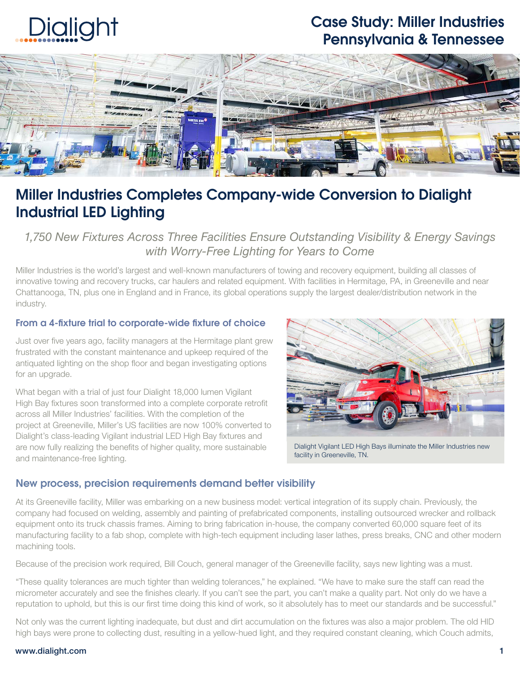

## Case Study: Miller Industries Pennsylvania & Tennessee



## Miller Industries Completes Company-wide Conversion to Dialight Industrial LED Lighting

*1,750 New Fixtures Across Three Facilities Ensure Outstanding Visibility & Energy Savings with Worry-Free Lighting for Years to Come*

Miller Industries is the world's largest and well-known manufacturers of towing and recovery equipment, building all classes of innovative towing and recovery trucks, car haulers and related equipment. With facilities in Hermitage, PA, in Greeneville and near Chattanooga, TN, plus one in England and in France, its global operations supply the largest dealer/distribution network in the industry.

#### From a 4-fixture trial to corporate-wide fixture of choice

Just over five years ago, facility managers at the Hermitage plant grew frustrated with the constant maintenance and upkeep required of the antiquated lighting on the shop floor and began investigating options for an upgrade.

What began with a trial of just four Dialight 18,000 lumen Vigilant High Bay fixtures soon transformed into a complete corporate retrofit across all Miller Industries' facilities. With the completion of the project at Greeneville, Miller's US facilities are now 100% converted to Dialight's class-leading Vigilant industrial LED High Bay fixtures and are now fully realizing the benefits of higher quality, more sustainable and maintenance-free lighting.



Dialight Vigilant LED High Bays illuminate the Miller Industries new facility in Greeneville, TN.

#### New process, precision requirements demand better visibility

At its Greeneville facility, Miller was embarking on a new business model: vertical integration of its supply chain. Previously, the company had focused on welding, assembly and painting of prefabricated components, installing outsourced wrecker and rollback equipment onto its truck chassis frames. Aiming to bring fabrication in-house, the company converted 60,000 square feet of its manufacturing facility to a fab shop, complete with high-tech equipment including laser lathes, press breaks, CNC and other modern machining tools.

Because of the precision work required, Bill Couch, general manager of the Greeneville facility, says new lighting was a must.

"These quality tolerances are much tighter than welding tolerances," he explained. "We have to make sure the staff can read the micrometer accurately and see the finishes clearly. If you can't see the part, you can't make a quality part. Not only do we have a reputation to uphold, but this is our first time doing this kind of work, so it absolutely has to meet our standards and be successful."

Not only was the current lighting inadequate, but dust and dirt accumulation on the fixtures was also a major problem. The old HID high bays were prone to collecting dust, resulting in a yellow-hued light, and they required constant cleaning, which Couch admits,

#### www.dialight.com 1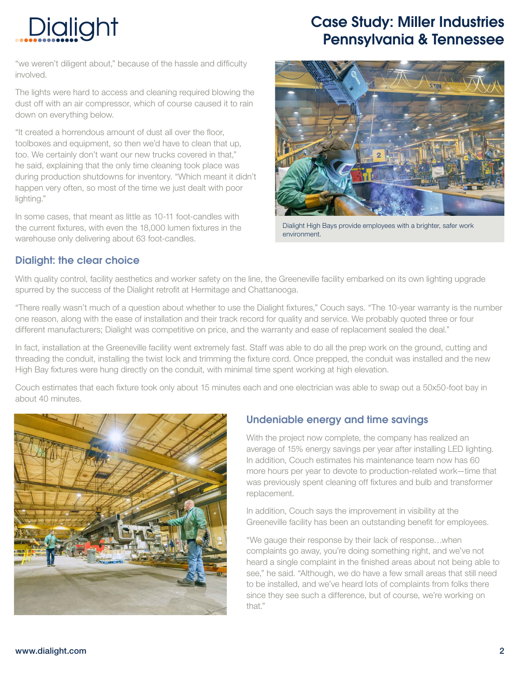# Dialight

"we weren't diligent about," because of the hassle and difficulty involved.

The lights were hard to access and cleaning required blowing the dust off with an air compressor, which of course caused it to rain down on everything below.

"It created a horrendous amount of dust all over the floor, toolboxes and equipment, so then we'd have to clean that up, too. We certainly don't want our new trucks covered in that," he said, explaining that the only time cleaning took place was during production shutdowns for inventory. "Which meant it didn't happen very often, so most of the time we just dealt with poor lighting."

In some cases, that meant as little as 10-11 foot-candles with the current fixtures, with even the 18,000 lumen fixtures in the warehouse only delivering about 63 foot-candles.

## Case Study: Miller Industries Pennsylvania & Tennessee



Dialight High Bays provide employees with a brighter, safer work environment.

#### Dialight: the clear choice

With quality control, facility aesthetics and worker safety on the line, the Greeneville facility embarked on its own lighting upgrade spurred by the success of the Dialight retrofit at Hermitage and Chattanooga.

"There really wasn't much of a question about whether to use the Dialight fixtures," Couch says. "The 10-year warranty is the number one reason, along with the ease of installation and their track record for quality and service. We probably quoted three or four different manufacturers; Dialight was competitive on price, and the warranty and ease of replacement sealed the deal."

In fact, installation at the Greeneville facility went extremely fast. Staff was able to do all the prep work on the ground, cutting and threading the conduit, installing the twist lock and trimming the fixture cord. Once prepped, the conduit was installed and the new High Bay fixtures were hung directly on the conduit, with minimal time spent working at high elevation.

Couch estimates that each fixture took only about 15 minutes each and one electrician was able to swap out a 50x50-foot bay in about 40 minutes.



## Undeniable energy and time savings

With the project now complete, the company has realized an average of 15% energy savings per year after installing LED lighting. In addition, Couch estimates his maintenance team now has 60 more hours per year to devote to production-related work—time that was previously spent cleaning off fixtures and bulb and transformer replacement.

In addition, Couch says the improvement in visibility at the Greeneville facility has been an outstanding benefit for employees.

"We gauge their response by their lack of response…when complaints go away, you're doing something right, and we've not heard a single complaint in the finished areas about not being able to see," he said. "Although, we do have a few small areas that still need to be installed, and we've heard lots of complaints from folks there since they see such a difference, but of course, we're working on that."